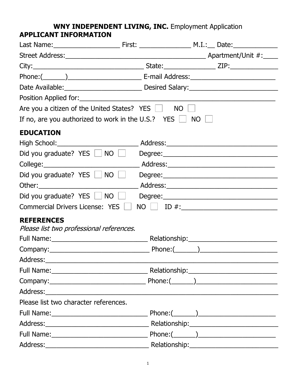## **WNY INDEPENDENT LIVING, INC.** Employment Application **APPLICANT INFORMATION**

| Are you a citizen of the United States? YES $\Box$ NO $\Box$                      |  |                 |
|-----------------------------------------------------------------------------------|--|-----------------|
| If no, are you authorized to work in the U.S.? YES $\Box$ NO $\Box$               |  |                 |
| <b>EDUCATION</b>                                                                  |  |                 |
|                                                                                   |  |                 |
| Did you graduate? YES   NO   Degree: Degree: Did you graduate? YES   NO   Degree: |  |                 |
|                                                                                   |  |                 |
| Did you graduate? YES $\Box$ NO $\Box$                                            |  |                 |
|                                                                                   |  |                 |
| Did you graduate? YES   NO                                                        |  |                 |
| <b>Commercial Drivers License: YES</b>                                            |  |                 |
| <b>REFERENCES</b>                                                                 |  |                 |
| Please list two professional references.                                          |  |                 |
|                                                                                   |  |                 |
|                                                                                   |  |                 |
|                                                                                   |  |                 |
|                                                                                   |  |                 |
|                                                                                   |  |                 |
|                                                                                   |  |                 |
| Please list two character references.                                             |  |                 |
|                                                                                   |  |                 |
|                                                                                   |  |                 |
|                                                                                   |  | $Phone: (\_\_)$ |
|                                                                                   |  |                 |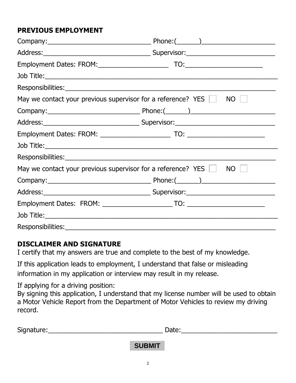## **PREVIOUS EMPLOYMENT**

| May we contact your previous supervisor for a reference? YES $\Box$ | NO   |
|---------------------------------------------------------------------|------|
|                                                                     |      |
|                                                                     |      |
|                                                                     |      |
|                                                                     |      |
|                                                                     |      |
| May we contact your previous supervisor for a reference? YES $\Box$ | $NO$ |
|                                                                     |      |
|                                                                     |      |
|                                                                     |      |
|                                                                     |      |
|                                                                     |      |

## **DISCLAIMER AND SIGNATURE**

I certify that my answers are true and complete to the best of my knowledge.

If this application leads to employment, I understand that false or misleading information in my application or interview may result in my release.

If applying for a driving position:

By signing this application, I understand that my license number will be used to obtain a Motor Vehicle Report from the Department of Motor Vehicles to review my driving record.

| Signature: | Date:         |  |
|------------|---------------|--|
|            | <b>SUBMIT</b> |  |